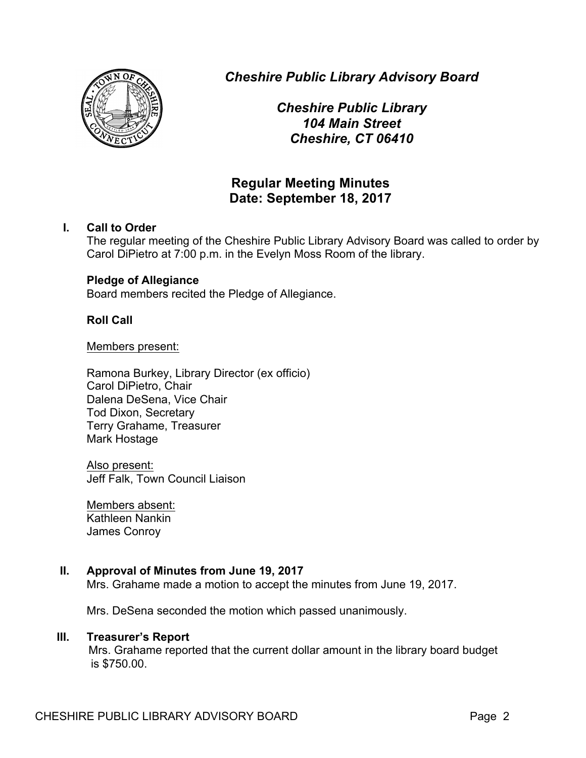

*Cheshire Public Library Advisory Board*

*Cheshire Public Library 104 Main Street Cheshire, CT 06410*

# **Regular Meeting Minutes Date: September 18, 2017**

# **I. Call to Order**

The regular meeting of the Cheshire Public Library Advisory Board was called to order by Carol DiPietro at 7:00 p.m. in the Evelyn Moss Room of the library.

# **Pledge of Allegiance**

Board members recited the Pledge of Allegiance.

# **Roll Call**

Members present:

Ramona Burkey, Library Director (ex officio) Carol DiPietro, Chair Dalena DeSena, Vice Chair Tod Dixon, Secretary Terry Grahame, Treasurer Mark Hostage

Also present: Jeff Falk, Town Council Liaison

Members absent: Kathleen Nankin James Conroy

# **II. Approval of Minutes from June 19, 2017**

Mrs. Grahame made a motion to accept the minutes from June 19, 2017.

Mrs. DeSena seconded the motion which passed unanimously.

# **III. Treasurer's Report**

Mrs. Grahame reported that the current dollar amount in the library board budget is \$750.00.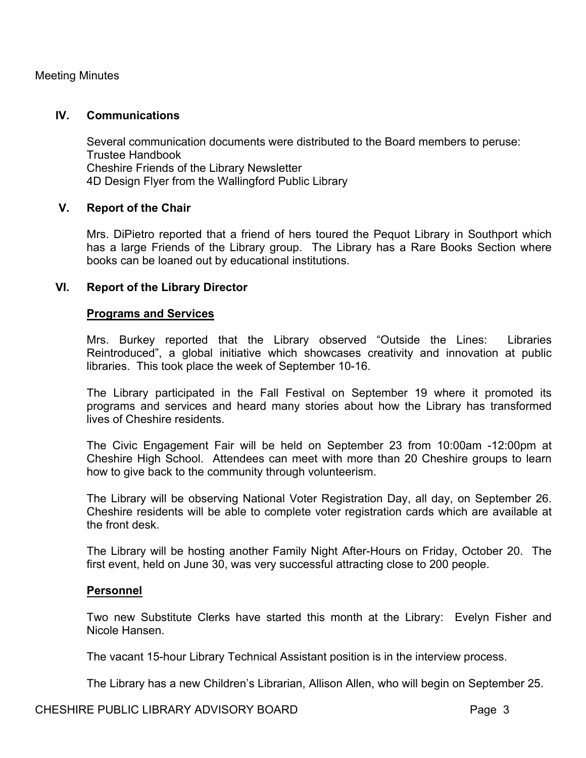#### **IV. Communications**

Several communication documents were distributed to the Board members to peruse: Trustee Handbook Cheshire Friends of the Library Newsletter 4D Design Flyer from the Wallingford Public Library

### **V. Report of the Chair**

Mrs. DiPietro reported that a friend of hers toured the Pequot Library in Southport which has a large Friends of the Library group. The Library has a Rare Books Section where books can be loaned out by educational institutions.

#### **VI. Report of the Library Director**

#### **Programs and Services**

Mrs. Burkey reported that the Library observed "Outside the Lines: Libraries Reintroduced", a global initiative which showcases creativity and innovation at public libraries. This took place the week of September 10-16.

The Library participated in the Fall Festival on September 19 where it promoted its programs and services and heard many stories about how the Library has transformed lives of Cheshire residents.

The Civic Engagement Fair will be held on September 23 from 10:00am -12:00pm at Cheshire High School. Attendees can meet with more than 20 Cheshire groups to learn how to give back to the community through volunteerism.

The Library will be observing National Voter Registration Day, all day, on September 26. Cheshire residents will be able to complete voter registration cards which are available at the front desk.

The Library will be hosting another Family Night After-Hours on Friday, October 20. The first event, held on June 30, was very successful attracting close to 200 people.

#### **Personnel**

Two new Substitute Clerks have started this month at the Library: Evelyn Fisher and Nicole Hansen.

The vacant 15-hour Library Technical Assistant position is in the interview process.

The Library has a new Children's Librarian, Allison Allen, who will begin on September 25.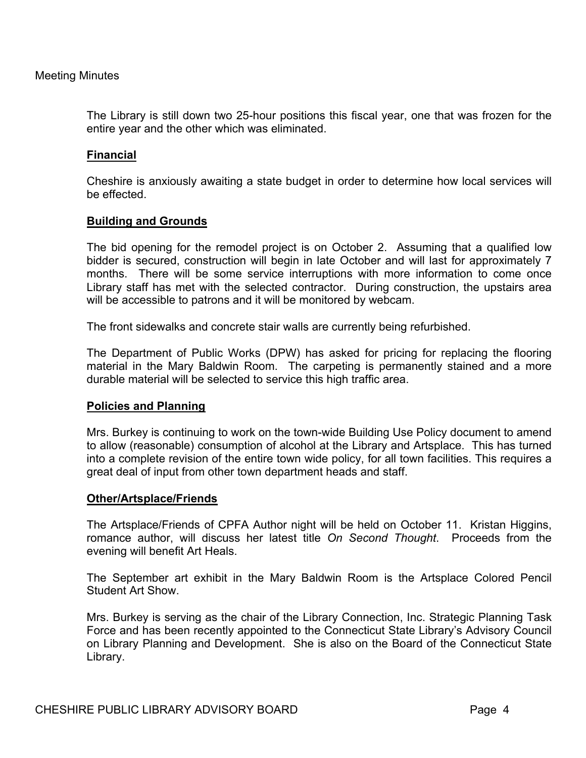The Library is still down two 25-hour positions this fiscal year, one that was frozen for the entire year and the other which was eliminated.

# **Financial**

Cheshire is anxiously awaiting a state budget in order to determine how local services will be effected.

### **Building and Grounds**

The bid opening for the remodel project is on October 2. Assuming that a qualified low bidder is secured, construction will begin in late October and will last for approximately 7 months. There will be some service interruptions with more information to come once Library staff has met with the selected contractor. During construction, the upstairs area will be accessible to patrons and it will be monitored by webcam.

The front sidewalks and concrete stair walls are currently being refurbished.

The Department of Public Works (DPW) has asked for pricing for replacing the flooring material in the Mary Baldwin Room. The carpeting is permanently stained and a more durable material will be selected to service this high traffic area.

#### **Policies and Planning**

Mrs. Burkey is continuing to work on the town-wide Building Use Policy document to amend to allow (reasonable) consumption of alcohol at the Library and Artsplace. This has turned into a complete revision of the entire town wide policy, for all town facilities. This requires a great deal of input from other town department heads and staff.

#### **Other/Artsplace/Friends**

The Artsplace/Friends of CPFA Author night will be held on October 11. Kristan Higgins, romance author, will discuss her latest title *On Second Thought*. Proceeds from the evening will benefit Art Heals.

The September art exhibit in the Mary Baldwin Room is the Artsplace Colored Pencil Student Art Show.

Mrs. Burkey is serving as the chair of the Library Connection, Inc. Strategic Planning Task Force and has been recently appointed to the Connecticut State Library's Advisory Council on Library Planning and Development. She is also on the Board of the Connecticut State Library.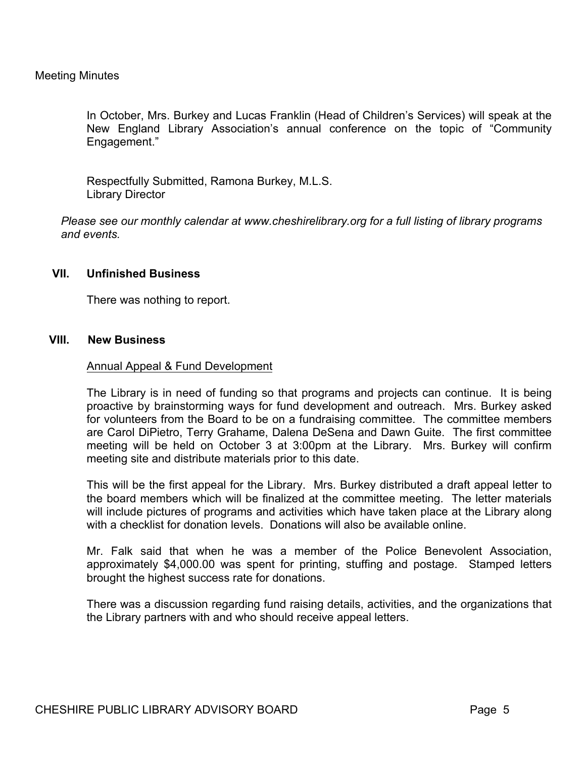In October, Mrs. Burkey and Lucas Franklin (Head of Children's Services) will speak at the New England Library Association's annual conference on the topic of "Community Engagement."

Respectfully Submitted, Ramona Burkey, M.L.S. Library Director

*Please see our monthly calendar at www.cheshirelibrary.org for a full listing of library programs and events.*

#### **VII. Unfinished Business**

There was nothing to report.

#### **VIII. New Business**

#### Annual Appeal & Fund Development

The Library is in need of funding so that programs and projects can continue. It is being proactive by brainstorming ways for fund development and outreach. Mrs. Burkey asked for volunteers from the Board to be on a fundraising committee. The committee members are Carol DiPietro, Terry Grahame, Dalena DeSena and Dawn Guite. The first committee meeting will be held on October 3 at 3:00pm at the Library. Mrs. Burkey will confirm meeting site and distribute materials prior to this date.

This will be the first appeal for the Library. Mrs. Burkey distributed a draft appeal letter to the board members which will be finalized at the committee meeting. The letter materials will include pictures of programs and activities which have taken place at the Library along with a checklist for donation levels. Donations will also be available online.

Mr. Falk said that when he was a member of the Police Benevolent Association, approximately \$4,000.00 was spent for printing, stuffing and postage. Stamped letters brought the highest success rate for donations.

There was a discussion regarding fund raising details, activities, and the organizations that the Library partners with and who should receive appeal letters.